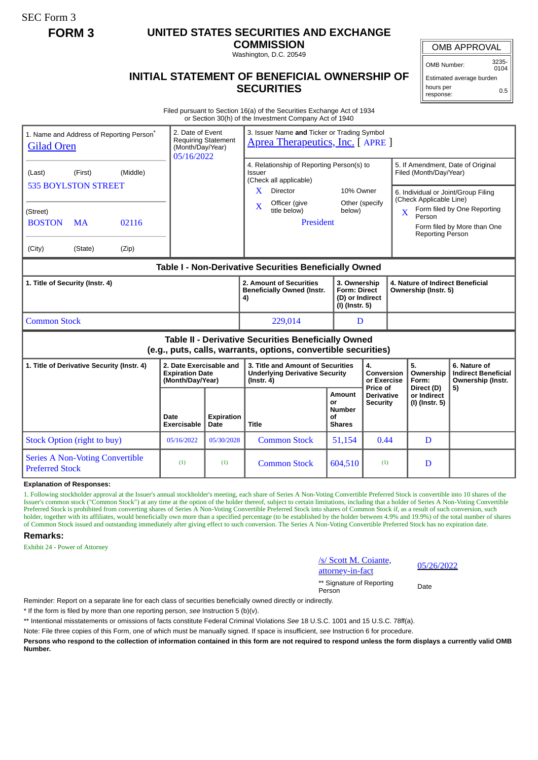SEC Form 3

## **FORM 3 UNITED STATES SECURITIES AND EXCHANGE**

**COMMISSION** Washington, D.C. 20549

OMB APPROVAL

OMB Number: 3235-  $0104$ 

## **INITIAL STATEMENT OF BENEFICIAL OWNERSHIP OF SECURITIES**

Estimated average burden hours per response: 0.5

Filed pursuant to Section 16(a) of the Securities Exchange Act of 1934 or Section 30(h) of the Investment Company Act of 1940

| 1. Name and Address of Reporting Person <sup>®</sup><br><b>Gilad Oren</b>                                             |                                                                                             |                                                                       | 2. Date of Event<br><b>Requiring Statement</b><br>(Month/Day/Year)<br>05/16/2022 | 3. Issuer Name and Ticker or Trading Symbol<br>Aprea Therapeutics, Inc. [APRE]                                                                                           |                                                             |                                                                                                   |                         |                                                                                        |                                                                                                                                        |
|-----------------------------------------------------------------------------------------------------------------------|---------------------------------------------------------------------------------------------|-----------------------------------------------------------------------|----------------------------------------------------------------------------------|--------------------------------------------------------------------------------------------------------------------------------------------------------------------------|-------------------------------------------------------------|---------------------------------------------------------------------------------------------------|-------------------------|----------------------------------------------------------------------------------------|----------------------------------------------------------------------------------------------------------------------------------------|
| (Last)<br>(Street)<br><b>BOSTON</b><br>(City)                                                                         | (Middle)<br>(First)<br><b>535 BOYLSTON STREET</b><br><b>MA</b><br>02116<br>(State)<br>(Zip) |                                                                       |                                                                                  | 4. Relationship of Reporting Person(s) to<br>Issuer<br>(Check all applicable)<br>Director<br>X.<br>Officer (give<br>$\overline{\mathbf{X}}$<br>title below)<br>President | 10% Owner<br>Other (specify<br>below)                       |                                                                                                   | $\overline{\mathbf{X}}$ | Filed (Month/Day/Year)<br>(Check Applicable Line)<br>Person<br><b>Reporting Person</b> | 5. If Amendment, Date of Original<br>6. Individual or Joint/Group Filing<br>Form filed by One Reporting<br>Form filed by More than One |
| Table I - Non-Derivative Securities Beneficially Owned                                                                |                                                                                             |                                                                       |                                                                                  |                                                                                                                                                                          |                                                             |                                                                                                   |                         |                                                                                        |                                                                                                                                        |
| 1. Title of Security (Instr. 4)                                                                                       |                                                                                             |                                                                       |                                                                                  | 2. Amount of Securities<br><b>Beneficially Owned (Instr.</b><br>4)                                                                                                       |                                                             | 3. Ownership<br><b>Form: Direct</b><br>(D) or Indirect<br>(I) (Instr. 5)                          |                         | 4. Nature of Indirect Beneficial<br>Ownership (Instr. 5)                               |                                                                                                                                        |
| <b>Common Stock</b>                                                                                                   |                                                                                             |                                                                       |                                                                                  | 229,014                                                                                                                                                                  | D                                                           |                                                                                                   |                         |                                                                                        |                                                                                                                                        |
| Table II - Derivative Securities Beneficially Owned<br>(e.g., puts, calls, warrants, options, convertible securities) |                                                                                             |                                                                       |                                                                                  |                                                                                                                                                                          |                                                             |                                                                                                   |                         |                                                                                        |                                                                                                                                        |
| 1. Title of Derivative Security (Instr. 4)                                                                            |                                                                                             | 2. Date Exercisable and<br><b>Expiration Date</b><br>(Month/Day/Year) |                                                                                  | 3. Title and Amount of Securities<br><b>Underlying Derivative Security</b><br>$($ Instr. 4 $)$                                                                           |                                                             | $\overline{4}$ .<br>Conversion<br>or Exercise<br>Price of<br><b>Derivative</b><br><b>Security</b> |                         | 5.<br>Ownership<br>Form:                                                               | 6. Nature of<br><b>Indirect Beneficial</b><br>Ownership (Instr.                                                                        |
|                                                                                                                       |                                                                                             | Date<br>Exercisable                                                   | <b>Expiration</b><br>Date                                                        | Title                                                                                                                                                                    | <b>Amount</b><br>or<br><b>Number</b><br>οf<br><b>Shares</b> |                                                                                                   |                         | Direct (D)<br>or Indirect<br>(I) (Instr. 5)                                            | 5)                                                                                                                                     |
|                                                                                                                       | Stock Option (right to buy)                                                                 | 05/16/2022                                                            | 05/30/2028                                                                       | <b>Common Stock</b>                                                                                                                                                      | 51,154                                                      | 0.44                                                                                              |                         | D                                                                                      |                                                                                                                                        |
| <b>Preferred Stock</b>                                                                                                | <b>Series A Non-Voting Convertible</b>                                                      | (1)                                                                   | (1)                                                                              | <b>Common Stock</b>                                                                                                                                                      | 604,510                                                     | (1)                                                                                               |                         | D                                                                                      |                                                                                                                                        |

**Explanation of Responses:**

1. Following stockholder approval at the Issuer's annual stockholder's meeting, each share of Series A Non-Voting Convertible Preferred Stock is convertible into 10 shares of the Issuer's common stock ("Common Stock") at any time at the option of the holder thereof, subject to certain limitations, including that a holder of Series A Non-Voting Convertible Preferred Stock is prohibited from converting shares of Series A Non-Voting Convertible Preferred Stock into shares of Common Stock if, as a result of such conversion, such holder, together with its affiliates, would beneficially own more than a specified percentage (to be established by the holder between 4.9% and 19.9%) of the total number of shares of Common Stock issued and outstanding immediately after giving effect to such conversion. The Series A Non-Voting Convertible Preferred Stock has no expiration date.

## **Remarks:**

Exhibit 24 - Power of Attorney

/s/ Scott M. Coiante,  $\frac{1}{25}$  Scott M. Colante,  $\frac{05}{26/2022}$ 

\*\* Signature of Reporting Person Date

Reminder: Report on a separate line for each class of securities beneficially owned directly or indirectly.

\* If the form is filed by more than one reporting person, *see* Instruction 5 (b)(v).

\*\* Intentional misstatements or omissions of facts constitute Federal Criminal Violations *See* 18 U.S.C. 1001 and 15 U.S.C. 78ff(a).

Note: File three copies of this Form, one of which must be manually signed. If space is insufficient, *see* Instruction 6 for procedure.

**Persons who respond to the collection of information contained in this form are not required to respond unless the form displays a currently valid OMB Number.**